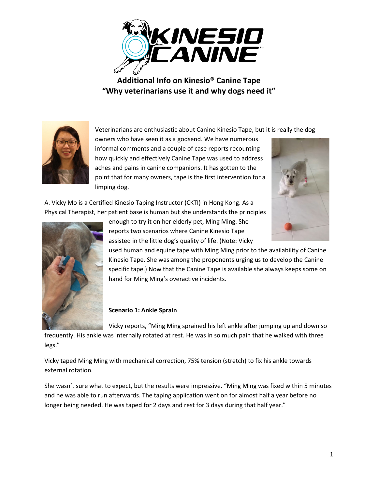

**Additional Info on Kinesio® Canine Tape "Why veterinarians use it and why dogs need it"**



Veterinarians are enthusiastic about Canine Kinesio Tape, but it is really the dog

owners who have seen it as a godsend. We have numerous informal comments and a couple of case reports recounting how quickly and effectively Canine Tape was used to address aches and pains in canine companions. It has gotten to the point that for many owners, tape is the first intervention for a limping dog.



A. Vicky Mo is a Certified Kinesio Taping Instructor (CKTI) in Hong Kong. As a Physical Therapist, her patient base is human but she understands the principles



enough to try it on her elderly pet, Ming Ming. She reports two scenarios where Canine Kinesio Tape assisted in the little dog's quality of life. (Note: Vicky

used human and equine tape with Ming Ming prior to the availability of Canine Kinesio Tape. She was among the proponents urging us to develop the Canine specific tape.) Now that the Canine Tape is available she always keeps some on hand for Ming Ming's overactive incidents.

## **Scenario 1: Ankle Sprain**

Vicky reports, "Ming Ming sprained his left ankle after jumping up and down so

frequently. His ankle was internally rotated at rest. He was in so much pain that he walked with three legs."

Vicky taped Ming Ming with mechanical correction, 75% tension (stretch) to fix his ankle towards external rotation.

She wasn't sure what to expect, but the results were impressive. "Ming Ming was fixed within 5 minutes and he was able to run afterwards. The taping application went on for almost half a year before no longer being needed. He was taped for 2 days and rest for 3 days during that half year."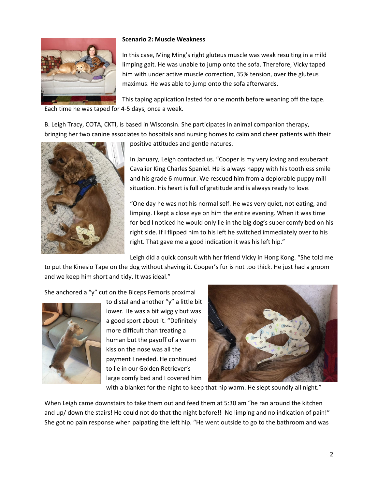

## **Scenario 2: Muscle Weakness**

In this case, Ming Ming's right gluteus muscle was weak resulting in a mild limping gait. He was unable to jump onto the sofa. Therefore, Vicky taped him with under active muscle correction, 35% tension, over the gluteus maximus. He was able to jump onto the sofa afterwards.

This taping application lasted for one month before weaning off the tape. Each time he was taped for 4-5 days, once a week.

B. Leigh Tracy, COTA, CKTI, is based in Wisconsin. She participates in animal companion therapy, bringing her two canine associates to hospitals and nursing homes to calm and cheer patients with their



positive attitudes and gentle natures.

In January, Leigh contacted us. "Cooper is my very loving and exuberant Cavalier King Charles Spaniel. He is always happy with his toothless smile and his grade 6 murmur. We rescued him from a deplorable puppy mill situation. His heart is full of gratitude and is always ready to love.

"One day he was not his normal self. He was very quiet, not eating, and limping. I kept a close eye on him the entire evening. When it was time for bed I noticed he would only lie in the big dog's super comfy bed on his right side. If I flipped him to his left he switched immediately over to his right. That gave me a good indication it was his left hip."

Leigh did a quick consult with her friend Vicky in Hong Kong. "She told me

to put the Kinesio Tape on the dog without shaving it. Cooper's fur is not too thick. He just had a groom and we keep him short and tidy. It was ideal."

She anchored a "y" cut on the Biceps Femoris proximal



to distal and another "y" a little bit lower. He was a bit wiggly but was a good sport about it. "Definitely more difficult than treating a human but the payoff of a warm kiss on the nose was all the payment I needed. He continued to lie in our Golden Retriever's large comfy bed and I covered him



with a blanket for the night to keep that hip warm. He slept soundly all night."

When Leigh came downstairs to take them out and feed them at 5:30 am "he ran around the kitchen and up/ down the stairs! He could not do that the night before!! No limping and no indication of pain!" She got no pain response when palpating the left hip. "He went outside to go to the bathroom and was